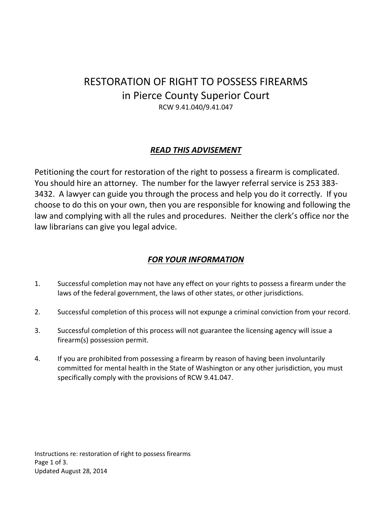# RESTORATION OF RIGHT TO POSSESS FIREARMS in Pierce County Superior Court RCW 9.41.040/9.41.047

## *READ THIS ADVISEMENT*

Petitioning the court for restoration of the right to possess a firearm is complicated. You should hire an attorney. The number for the lawyer referral service is 253 383- 3432. A lawyer can guide you through the process and help you do it correctly. If you choose to do this on your own, then you are responsible for knowing and following the law and complying with all the rules and procedures. Neither the clerk's office nor the law librarians can give you legal advice.

## *FOR YOUR INFORMATION*

- 1. Successful completion may not have any effect on your rights to possess a firearm under the laws of the federal government, the laws of other states, or other jurisdictions.
- 2. Successful completion of this process will not expunge a criminal conviction from your record.
- 3. Successful completion of this process will not guarantee the licensing agency will issue a firearm(s) possession permit.
- 4. If you are prohibited from possessing a firearm by reason of having been involuntarily committed for mental health in the State of Washington or any other jurisdiction, you must specifically comply with the provisions of RCW 9.41.047.

Instructions re: restoration of right to possess firearms Page 1 of 3. Updated August 28, 2014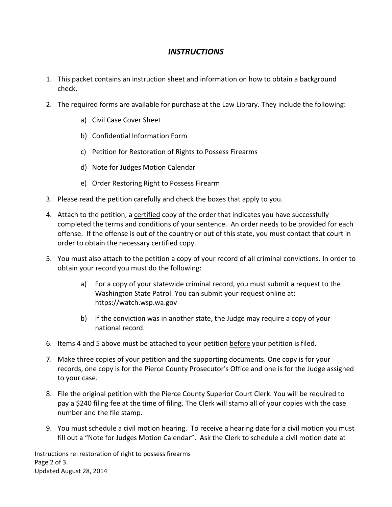#### *INSTRUCTIONS*

- 1. This packet contains an instruction sheet and information on how to obtain a background check.
- 2. The required forms are available for purchase at the Law Library. They include the following:
	- a) Civil Case Cover Sheet
	- b) Confidential Information Form
	- c) Petition for Restoration of Rights to Possess Firearms
	- d) Note for Judges Motion Calendar
	- e) Order Restoring Right to Possess Firearm
- 3. Please read the petition carefully and check the boxes that apply to you.
- 4. Attach to the petition, a certified copy of the order that indicates you have successfully completed the terms and conditions of your sentence. An order needs to be provided for each offense. If the offense is out of the country or out of this state, you must contact that court in order to obtain the necessary certified copy.
- 5. You must also attach to the petition a copy of your record of all criminal convictions. In order to obtain your record you must do the following:
	- a) For a copy of your statewide criminal record, you must submit a request to the Washington State Patrol. You can submit your request online at: https://watch.wsp.wa.gov
	- b) If the conviction was in another state, the Judge may require a copy of your national record.
- 6. Items 4 and 5 above must be attached to your petition before your petition is filed.
- 7. Make three copies of your petition and the supporting documents. One copy is for your records, one copy is for the Pierce County Prosecutor's Office and one is for the Judge assigned to your case.
- 8. File the original petition with the Pierce County Superior Court Clerk. You will be required to pay a \$240 filing fee at the time of filing. The Clerk will stamp all of your copies with the case number and the file stamp.
- 9. You must schedule a civil motion hearing. To receive a hearing date for a civil motion you must fill out a "Note for Judges Motion Calendar". Ask the Clerk to schedule a civil motion date at

Instructions re: restoration of right to possess firearms Page 2 of 3. Updated August 28, 2014